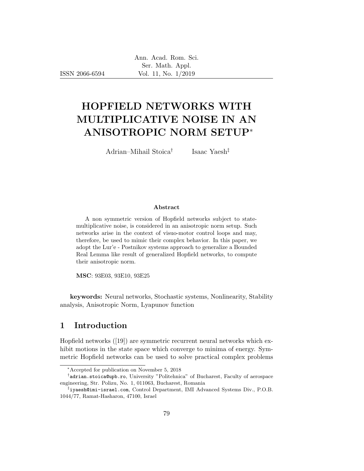ISSN 2066-6594

# HOPFIELD NETWORKS WITH MULTIPLICATIVE NOISE IN AN ANISOTROPIC NORM SETUP<sup>∗</sup>

Adrian–Mihail Stoica†

Isaac Yaesh‡

#### Abstract

A non symmetric version of Hopfield networks subject to statemultiplicative noise, is considered in an anisotropic norm setup. Such networks arise in the context of visuo-motor control loops and may, therefore, be used to mimic their complex behavior. In this paper, we adopt the Lur'e - Postnikov systems approach to generalize a Bounded Real Lemma like result of generalized Hopfield networks, to compute their anisotropic norm.

MSC: 93E03, 93E10, 93E25

keywords: Neural networks, Stochastic systems, Nonlinearity, Stability analysis, Anisotropic Norm, Lyapunov function

#### 1 Introduction

Hopfield networks ([19]) are symmetric recurrent neural networks which exhibit motions in the state space which converge to minima of energy. Symmetric Hopfield networks can be used to solve practical complex problems

<sup>∗</sup>Accepted for publication on November 5, 2018

<sup>†</sup> adrian.stoica@upb.ro, University "Politehnica" of Bucharest, Faculty of aerospace engineering, Str. Polizu, No. 1, 011063, Bucharest, Romania

<sup>‡</sup> iyaesh@imi-israel.com, Control Department, IMI Advanced Systems Div., P.O.B. 1044/77, Ramat-Hasharon, 47100, Israel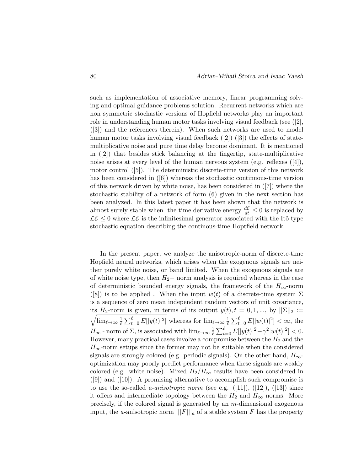such as implementation of associative memory, linear programming solving and optimal guidance problems solution. Recurrent networks which are non symmetric stochastic versions of Hopfield networks play an important role in understanding human motor tasks involving visual feedback (see  $(2)$ , ([3]) and the references therein). When such networks are used to model human motor tasks involving visual feedback  $([2] ) ([3] )$  the effects of statemultiplicative noise and pure time delay become dominant. It is mentioned in ([2]) that besides stick balancing at the fingertip, state-multiplicative noise arises at every level of the human nervous system (e.g. reflexes ([4]), motor control ([5]). The deterministic discrete-time version of this network has been considered in  $([6])$  whereas the stochastic continuous-time version of this network driven by white noise, has been considered in ([7]) where the stochastic stability of a network of form (6) given in the next section has been analyzed. In this latest paper it has been shown that the network is almost surely stable when the time derivative energy  $\frac{d\mathcal{E}}{dt} \leq 0$  is replaced by  $\mathcal{LE} \leq 0$  where  $\mathcal{LE}$  is the infinitesimal generator associated with the Itô type stochastic equation describing the continous-time Hoptfield network.

In the present paper, we analyze the anisotropic-norm of discrete-time Hopfield neural networks, which arises when the exogenous signals are neither purely white noise, or band limited. When the exogenous signals are of white noise type, then  $H_2$ − norm analysis is required whereas in the case of deterministic bounded energy signals, the framework of the  $H_{\infty}$ -norm ([8]) is to be applied. When the input  $w(t)$  of a discrete-time system  $\Sigma$ is a sequence of zero mean independent random vectors of unit covariance,  $\sqrt{\lim_{\ell \to \infty} \frac{1}{\ell}}$ its H<sub>2</sub>-norm is given, in terms of its output  $y(t)$ ,  $t = 0, 1, \dots$ , by  $||\Sigma||_2 :=$  $\frac{1}{\ell} \sum_{t=0}^{\ell} E[|y(t)|^2]$  whereas for  $\lim_{\ell \to \infty} \frac{1}{\ell}$  $\frac{1}{\ell} \sum_{t=0}^{\ell} E[|w(t)|^2] < \infty$ , the  $H_{\infty}$  - norm of  $\Sigma$ , is associated with  $\lim_{\ell\to\infty}\frac{1}{\ell}$  $\frac{1}{\ell} \sum_{t=0}^{\ell} E[|y(t)|^2 - \gamma^2 |w(t)|^2] < 0.$ However, many practical cases involve a compromise between the  $H_2$  and the  $H_{\infty}$ -norm setups since the former may not be suitable when the considered signals are strongly colored (e.g. periodic signals). On the other hand,  $H_{\infty}$ optimization may poorly predict performance when these signals are weakly colored (e.g. white noise). Mixed  $H_2/H_{\infty}$  results have been considered in  $([9])$  and  $([10])$ . A promising alternative to accomplish such compromise is to use the so-called *a-anisotropic norm* (see e.g.  $([11]), ([12]), ([13])$  since it offers and intermediate topology between the  $H_2$  and  $H_{\infty}$  norms. More precisely, if the colored signal is generated by an m-dimensional exogenous input, the a-anisotropic norm  $\|\|F\|\|_a$  of a stable system F has the property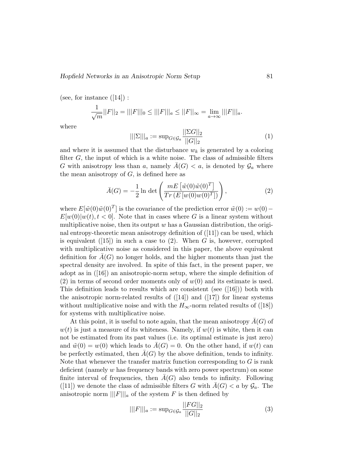(see, for instance  $([14])$ :

$$
\frac{1}{\sqrt{m}}||F||_2 = |||F|||_0 \le |||F|||_a \le ||F||_{\infty} = \lim_{a \to \infty} |||F|||_a.
$$

where

$$
|||\Sigma|||_a := \sup_{G \in \mathcal{G}_a} \frac{||\Sigma G||_2}{||G||_2} \tag{1}
$$

and where it is assumed that the disturbance  $w_k$  is generated by a coloring filter  $G$ , the input of which is a white noise. The class of admissible filters G with anisotropy less than a, namely  $A(G) < a$ , is denoted by  $\mathcal{G}_a$  where the mean anisotropy of  $G$ , is defined here as

$$
\bar{A}(G) = -\frac{1}{2} \ln \det \left( \frac{mE \left[ \tilde{w}(0) \tilde{w}(0)^T \right]}{Tr \left( E \left[ w(0) w(0)^T \right] \right)} \right), \tag{2}
$$

where  $E[\tilde{w}(0)\tilde{w}(0)^T]$  is the covariance of the prediction error  $\tilde{w}(0) := w(0) - \tilde{w}(0)$  $E[w(0)|w(t), t < 0]$ . Note that in cases where G is a linear system without multiplicative noise, then its output  $w$  has a Gaussian distribution, the original entropy-theoretic mean anisotropy definition of  $(11)$  can be used, which is equivalent  $([15])$  in such a case to  $(2)$ . When G is, however, corrupted with multiplicative noise as considered in this paper, the above equivalent definition for  $A(G)$  no longer holds, and the higher moments than just the spectral density are involved. In spite of this fact, in the present paper, we adopt as in  $([16])$  an anisotropic-norm setup, where the simple definition of (2) in terms of second order moments only of  $w(0)$  and its estimate is used. This definition leads to results which are consistent (see  $([16])$ ) both with the anisotropic norm-related results of  $(14)$  and  $(17)$  for linear systems without multiplicative noise and with the  $H_{\infty}$ -norm related results of ([18]) for systems with multiplicative noise.

At this point, it is useful to note again, that the mean anisotropy  $A(G)$  of  $w(t)$  is just a measure of its whiteness. Namely, if  $w(t)$  is white, then it can not be estimated from its past values (i.e. its optimal estimate is just zero) and  $\tilde{w}(0) = w(0)$  which leads to  $A(G) = 0$ . On the other hand, if  $w(t)$  can be perfectly estimated, then  $A(G)$  by the above definition, tends to infinity. Note that whenever the transfer matrix function corresponding to  $G$  is rank deficient (namely w has frequency bands with zero power spectrum) on some finite interval of frequencies, then  $A(G)$  also tends to infinity. Following ([11]) we denote the class of admissible filters G with  $A(G) < a$  by  $\mathcal{G}_a$ . The anisotropic norm  $\|\|F\|\|_a$  of the system F is then defined by

$$
|||F|||_a := \sup_{G \in \mathcal{G}_a} \frac{||FG||_2}{||G||_2} \tag{3}
$$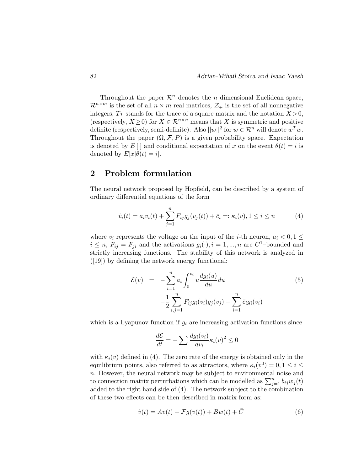Throughout the paper  $\mathcal{R}^n$  denotes the *n* dimensional Euclidean space,  $\mathcal{R}^{n \times m}$  is the set of all  $n \times m$  real matrices,  $\mathcal{Z}_+$  is the set of all nonnegative integers, Tr stands for the trace of a square matrix and the notation  $X > 0$ , (respectively,  $X \geq 0$ ) for  $X \in \mathbb{R}^{n \times n}$  means that X is symmetric and positive definite (respectively, semi-definite). Also  $||w||^2$  for  $w \in \mathcal{R}^n$  will denote  $w^T w$ . Throughout the paper  $(\Omega, \mathcal{F}, P)$  is a given probability space. Expectation is denoted by  $E[\cdot]$  and conditional expectation of x on the event  $\theta(t) = i$  is denoted by  $E[x|\theta(t) = i]$ .

#### 2 Problem formulation

The neural network proposed by Hopfield, can be described by a system of ordinary differential equations of the form

$$
\dot{v}_i(t) = a_i v_i(t) + \sum_{j=1}^n F_{ij} g_j(v_j(t)) + \bar{c}_i =: \kappa_i(v), 1 \le i \le n \tag{4}
$$

where  $v_i$  represents the voltage on the input of the *i*-th neuron,  $a_i < 0, 1 \leq$  $i \leq n$ ,  $F_{ij} = F_{ji}$  and the activations  $g_i(\cdot), i = 1, ..., n$  are  $C^1$ -bounded and strictly increasing functions. The stability of this network is analyzed in ([19]) by defining the network energy functional:

$$
\mathcal{E}(v) = -\sum_{i=1}^{n} a_i \int_0^{v_i} u \frac{dg_i(u)}{du} du
$$
\n
$$
-\frac{1}{2} \sum_{i,j=1}^{n} F_{ij} g_i(v_i) g_j(v_j) - \sum_{i=1}^{n} \bar{c}_i g_i(v_i)
$$
\n(5)

which is a Lyapunov function if  $g_i$  are increasing activation functions since

$$
\frac{d\mathcal{E}}{dt} = -\sum \frac{dg_i(v_i)}{dv_i} \kappa_i(v)^2 \le 0
$$

with  $\kappa_i(v)$  defined in (4). The zero rate of the energy is obtained only in the equilibrium points, also referred to as attractors, where  $\kappa_i(v^0) = 0, 1 \le i \le$ n. However, the neural network may be subject to environmental noise and to connection matrix perturbations which can be modelled as  $\sum_{j=1}^{n} b_{ij}w_j(t)$ added to the right hand side of (4). The network subject to the combination of these two effects can be then described in matrix form as:

$$
\dot{v}(t) = Av(t) + \mathcal{F}g(v(t)) + Bw(t) + \bar{C}
$$
\n(6)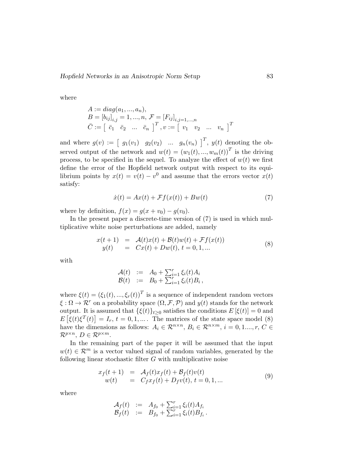where

$$
A := diag(a_1, ..., a_n),
$$
  
\n
$$
B = [b_{ij}]_{i,j} = 1, ..., n, \mathcal{F} = [F_{ij}]_{i,j=1,...,n}
$$
  
\n
$$
\bar{C} := \begin{bmatrix} \bar{c}_1 & \bar{c}_2 & ... & \bar{c}_n \end{bmatrix}^T, v := \begin{bmatrix} v_1 & v_2 & ... & v_n \end{bmatrix}^T
$$

and where  $g(v) := \begin{bmatrix} g_1(v_1) & g_2(v_2) & \dots & g_n(v_n) \end{bmatrix}^T$ ,  $y(t)$  denoting the observed output of the network and  $w(t) = (w_1(t), ..., w_m(t))^T$  is the driving process, to be specified in the sequel. To analyze the effect of  $w(t)$  we first define the error of the Hopfield network output with respect to its equilibrium points by  $x(t) = v(t) - v^0$  and assume that the errors vector  $x(t)$ satisfy:

$$
\dot{x}(t) = Ax(t) + \mathcal{F}f(x(t)) + Bw(t)
$$
\n(7)

where by definition,  $f(x) = g(x + v_0) - g(v_0)$ .

In the present paper a discrete-time version of (7) is used in which multiplicative white noise perturbations are added, namely

$$
x(t+1) = \mathcal{A}(t)x(t) + \mathcal{B}(t)w(t) + \mathcal{F}f(x(t))
$$
  
\n
$$
y(t) = Cx(t) + Dw(t), t = 0, 1, ...
$$
\n(8)

with

$$
\begin{array}{rcl} \mathcal{A}(t) & := & A_0 + \sum_{i=1}^r \xi_i(t) A_i \\ \mathcal{B}(t) & := & B_0 + \sum_{i=1}^r \xi_i(t) B_i \, , \end{array}
$$

where  $\xi(t) = (\xi_1(t), ..., \xi_r(t))^T$  is a sequence of independent random vectors  $\xi : \Omega \to \mathcal{R}^r$  on a probability space  $(\Omega, \mathcal{F}, \mathcal{P})$  and  $y(t)$  stands for the network output. It is assumed that  $\{\xi(t)\}_{t>0}$  satisfies the conditions  $E[\xi(t)] = 0$  and  $E\left[\xi(t)\xi^{T}(t)\right] = I_{r}, t = 0, 1, \ldots$ . The matrices of the state space model (8) have the dimensions as follows:  $A_i \in \mathcal{R}^{n \times n}$ ,  $B_i \in \mathcal{R}^{n \times m}$ ,  $i = 0, 1, ..., r$ ,  $C \in$  $\mathcal{R}^{p\times n}, D \in \mathcal{R}^{p\times m}.$ 

In the remaining part of the paper it will be assumed that the input  $w(t) \in \mathcal{R}^m$  is a vector valued signal of random variables, generated by the following linear stochastic filter G with multiplicative noise

$$
x_f(t+1) = A_f(t)x_f(t) + B_f(t)v(t)
$$
  
\n
$$
w(t) = C_f x_f(t) + D_f v(t), t = 0, 1, ...
$$
\n(9)

where

$$
\begin{array}{rcl}\nA_f(t) & := & A_{f_0} + \sum_{i=1}^r \xi_i(t) A_{f_i} \\
B_f(t) & := & B_{f_0} + \sum_{i=1}^r \xi_i(t) B_{f_i}\,.\n\end{array}
$$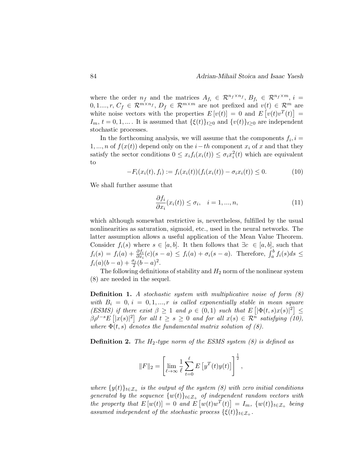where the order  $n_f$  and the matrices  $A_{f_i} \in \mathcal{R}^{n_f \times n_f}$ ,  $B_{f_i} \in \mathcal{R}^{n_f \times m}$ ,  $i =$  $0, 1, ..., r, C_f \in \mathcal{R}^{m \times n_f}, D_f \in \mathcal{R}^{m \times m}$  are not prefixed and  $v(t) \in \mathcal{R}^{m}$  are white noise vectors with the properties  $E[v(t)] = 0$  and  $E[v(t)v^{T}(t)] =$  $I_m$ ,  $t = 0, 1, \dots$  It is assumed that  $\{\xi(t)\}_{t\geq 0}$  and  $\{v(t)\}_{t\geq 0}$  are independent stochastic processes.

In the forthcoming analysis, we will assume that the components  $f_i$ ,  $i =$ 1, ..., *n* of  $f(x(t))$  depend only on the  $i-th$  component  $x_i$  of x and that they satisfy the sector conditions  $0 \leq x_i f_i(x_i(t)) \leq \sigma_i x_i^2(t)$  which are equivalent to

$$
-F_i(x_i(t), f_i) := f_i(x_i(t)) (f_i(x_i(t)) - \sigma_i x_i(t)) \le 0.
$$
 (10)

We shall further assume that

$$
\frac{\partial f_i}{\partial x_i}(x_i(t)) \le \sigma_i, \quad i = 1, ..., n,
$$
\n(11)

which although somewhat restrictive is, nevertheless, fulfilled by the usual nonlinearities as saturation, sigmoid, etc., used in the neural networks. The latter assumption allows a useful application of the Mean Value Theorem. Consider  $f_i(s)$  where  $s \in [a, b]$ . It then follows that  $\exists c \in [a, b]$ , such that  $f_i(s) = f_i(a) + \frac{\partial f_i}{\partial x_i}(c)(s-a) \leq f_i(a) + \sigma_i(s-a)$ . Therefore,  $\int_a^b f_i(s)ds \leq$  $f_i(a)(b-a) + \frac{\sigma_i}{2}(b-a)^2$ .

The following definitions of stability and  $H_2$  norm of the nonlinear system (8) are needed in the sequel.

**Definition 1.** A stochastic system with multiplicative noise of form  $(8)$ with  $B_i = 0, i = 0, 1, ..., r$  is called exponentially stable in mean square (ESMS) if there exist  $\beta \geq 1$  and  $\rho \in (0,1)$  such that  $E\left[|\Phi(t,s)x(s)|^2\right] \leq$  $\beta \rho^{t-s} E\left[|x(s)|^2\right]$  for all  $t \geq s \geq 0$  and for all  $x(s) \in \mathcal{R}^{\tilde{n}}$  satisfying (10), where  $\Phi(t, s)$  denotes the fundamental matrix solution of (8).

**Definition 2.** The  $H_2$ -type norm of the ESMS system (8) is defined as

$$
||F||_2 = \left[ \lim_{\ell \to \infty} \frac{1}{\ell} \sum_{t=0}^{\ell} E\left[ y^T(t) y(t) \right] \right]^{\frac{1}{2}},
$$

where  $\{y(t)\}_{t\in\mathcal{Z}_+}$  is the output of the system (8) with zero initial conditions generated by the sequence  $\{w(t)\}_{t\in\mathcal{Z}_+}$  of independent random vectors with the property that  $E[w(t)] = 0$  and  $E[w(t)w^{T}(t)] = I_m$ ,  $\{w(t)\}_{t \in \mathcal{Z}_+}$  being assumed independent of the stochastic process  $\{\xi(t)\}_{t\in\mathcal{Z}_+}$ .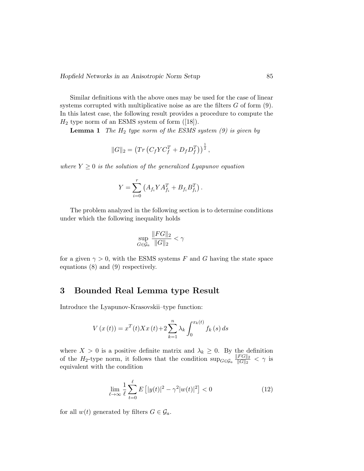Similar definitions with the above ones may be used for the case of linear systems corrupted with multiplicative noise as are the filters  $G$  of form  $(9)$ . In this latest case, the following result provides a procedure to compute the  $H_2$  type norm of an ESMS system of form ([18]).

**Lemma 1** The  $H_2$  type norm of the ESMS system (9) is given by

$$
||G||_2 = \left(Tr\left(C_f Y C_f^T + D_f D_f^T\right)\right)^{\frac{1}{2}},
$$

where  $Y \geq 0$  is the solution of the generalized Lyapunov equation

$$
Y = \sum_{i=0}^{r} (A_{f_i} Y A_{f_i}^T + B_{f_i} B_{f_i}^T).
$$

The problem analyzed in the following section is to determine conditions under which the following inequality holds

$$
\sup_{G \in \mathcal{G}_a} \frac{\|FG\|_2}{\|G\|_2} < \gamma
$$

for a given  $\gamma > 0$ , with the ESMS systems F and G having the state space equations (8) and (9) respectively.

#### 3 Bounded Real Lemma type Result

Introduce the Lyapunov-Krasovskii–type function:

$$
V(x(t)) = x^{T}(t)Xx(t) + 2\sum_{k=1}^{n} \lambda_{k} \int_{0}^{x_{k}(t)} f_{k}(s) ds
$$

where  $X > 0$  is a positive definite matrix and  $\lambda_k \geq 0$ . By the definition of the H<sub>2</sub>-type norm, it follows that the condition  $\sup_{G \in \mathcal{G}_a} \frac{\|FG\|_2}{\|G\|_2}$  $\frac{F\ G||2}{\|G\|_2} < \gamma$  is equivalent with the condition

$$
\lim_{\ell \to \infty} \frac{1}{\ell} \sum_{t=0}^{\ell} E\left[ |y(t)|^2 - \gamma^2 |w(t)|^2 \right] < 0 \tag{12}
$$

for all  $w(t)$  generated by filters  $G \in \mathcal{G}_a$ .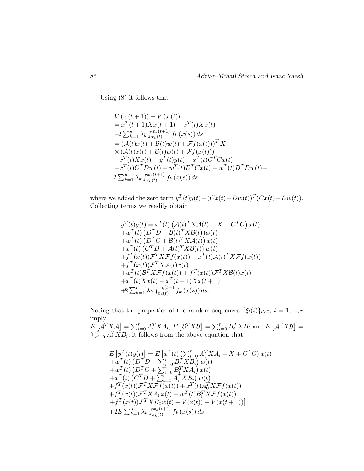Using (8) it follows that

$$
V (x (t + 1)) – V (x (t))
$$
  
=  $x^{T} (t + 1) X x (t + 1) – x^{T} (t) X x (t)$   
+2  $\sum_{k=1}^{n} \lambda_{k} \int_{x_{k}(t)}^{x_{k}(t+1)} f_{k} (x(s)) ds$   
=  $(A(t)x(t) + B(t)w(t) + \mathcal{F}f(x(t)))^{T} X$   
 $\times (A(t)x(t) + B(t)w(t) + \mathcal{F}f(x(t)))$   
 $-x^{T}(t) X x(t) - y^{T}(t) y(t) + x^{T}(t) C^{T} C x(t)$   
+  $x^{T}(t) C^{T} D w(t) + w^{T}(t) D^{T} C x(t) + w^{T}(t) D^{T} D w(t) +$   
 $2 \sum_{k=1}^{n} \lambda_{k} \int_{x_{k}(t)}^{x_{k}(t+1)} f_{k} (x(s)) ds$ 

where we added the zero term  $y^T(t)y(t) - (Cx(t) + Dw(t))^T(Cx(t) + Dw(t)).$ Collecting terms we readily obtain

$$
y^T(t)y(t) = x^T(t) \left(\mathcal{A}(t)^T X \mathcal{A}(t) - X + C^T C\right) x(t)
$$
  
+
$$
w^T(t) \left(D^T D + \mathcal{B}(t)^T X \mathcal{B}(t)\right) w(t)
$$
  
+
$$
w^T(t) \left(D^T C + \mathcal{B}(t)^T X \mathcal{A}(t)\right) x(t)
$$
  
+
$$
x^T(t) \left(C^T D + \mathcal{A}(t)^T X \mathcal{B}(t)\right) w(t)
$$
  
+
$$
f^T(x(t)) \mathcal{F}^T X \mathcal{F}f(x(t)) + x^T(t) \mathcal{A}(t)^T X \mathcal{F}f(x(t))
$$
  
+
$$
f^T(x(t)) \mathcal{F}^T X \mathcal{A}(t) x(t)
$$
  
+
$$
w^T(t) \mathcal{B}^T X \mathcal{F}f(x(t)) + f^T(x(t)) \mathcal{F}^T X \mathcal{B}(t) x(t)
$$
  
+
$$
x^T(t) X x(t) - x^T(t + 1) X x(t + 1)
$$
  
+
$$
2 \sum_{k=1}^n \lambda_k \int_{x_k(t)}^{x_k(t+1)} f_k(x(s)) ds.
$$

Noting that the properties of the random sequences  $\{\xi_i(t)\}_{t\geq 0}, i = 1, ..., r$ imply

 $E\left[\mathcal{A}^T X \mathcal{A}\right] = \sum_{i=0}^r A_i^T X A_i, E\left[\mathcal{B}^T X \mathcal{B}\right] = \sum_{i=0}^r B_i^T X B_i$  and  $E\left[\mathcal{A}^T X \mathcal{B}\right] = \sum_{i=0}^r A_i^T X B_i$ , it follows from the above equation that

$$
E\left[y^{T}(t)y(t)\right] = E\left[x^{T}(t)\left(\sum_{i=0}^{r} A_{i}^{T} X A_{i} - X + C^{T} C\right)x(t)\right] + w^{T}(t)\left(D^{T} D + \sum_{i=0}^{r} B_{i}^{T} X B_{i}\right) w(t) + w^{T}(t)\left(D^{T} C + \sum_{i=0}^{r} B_{i}^{T} X A_{i}\right)x(t) + x^{T}(t)\left(C^{T} D + \sum_{i=0}^{r} A_{i}^{T} X B_{i}\right) w(t) + f^{T}(x(t))\mathcal{F}^{T} X \mathcal{F}f(x(t)) + x^{T}(t)A_{0}^{T} X \mathcal{F}f(x(t)) + f^{T}(x(t))\mathcal{F}^{T} X A_{0} x(t) + w^{T}(t)B_{0}^{T} X \mathcal{F}f(x(t)) + f^{T}(x(t))\mathcal{F}^{T} X B_{0} w(t) + V(x(t)) - V(x(t+1))\right] + 2E \sum_{k=1}^{n} \lambda_{k} \int_{x_{k}(t)}^{x_{k}(t+1)} f_{k}(x(s)) ds.
$$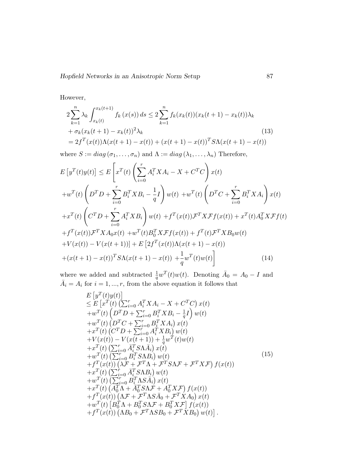However,

$$
2\sum_{k=1}^{n} \lambda_k \int_{x_k(t)}^{x_k(t+1)} f_k(x(s)) ds \le 2\sum_{k=1}^{n} f_k(x_k(t))(x_k(t+1) - x_k(t))\lambda_k
$$
  
+  $\sigma_k (x_k(t+1) - x_k(t))^2 \lambda_k$   
=  $2f^T(x(t))\Lambda(x(t+1) - x(t)) + (x(t+1) - x(t))^T S \Lambda(x(t+1) - x(t))$  (13)

where  $S := diag(\sigma_1, \ldots, \sigma_n)$  and  $\Lambda := diag(\lambda_1, \ldots, \lambda_n)$  Therefore,

$$
E\left[y^{T}(t)y(t)\right] \leq E\left[x^{T}(t)\left(\sum_{i=0}^{r} A_{i}^{T} X A_{i} - X + C^{T} C\right)x(t)\right] + w^{T}(t)\left(D^{T} D + \sum_{i=0}^{r} B_{i}^{T} X B_{i} - \frac{1}{q} I\right)w(t) + w^{T}(t)\left(D^{T} C + \sum_{i=0}^{r} B_{i}^{T} X A_{i}\right)x(t) + x^{T}(t)\left(C^{T} D + \sum_{i=0}^{r} A_{i}^{T} X B_{i}\right)w(t) + f^{T}(x(t))\mathcal{F}^{T} X \mathcal{F}f(x(t)) + x^{T}(t)A_{0}^{T} X \mathcal{F}f(t) + f^{T}(x(t))\mathcal{F}^{T} X A_{0} x(t) + w^{T}(t)B_{0}^{T} X \mathcal{F}f(x(t)) + f^{T}(t)\mathcal{F}^{T} X B_{0} w(t) + V(x(t)) - V(x(t+1))] + E\left[2f^{T}(x(t))\Lambda(x(t+1) - x(t))\right] + (x(t+1) - x(t))^{T} S\Lambda(x(t+1) - x(t)) + \frac{1}{q} w^{T}(t)w(t)
$$
(14)

where we added and subtracted  $\frac{1}{q}w^T(t)w(t)$ . Denoting  $\bar{A}_0 = A_0 - I$  and  $\bar{A}_i = A_i$  for  $i = 1, ..., r$ , from the above equation it follows that

$$
E\left[y^{T}(t)y(t)\right] \leq E\left[x^{T}(t)\left(\sum_{i=0}^{r} A_{i}^{T} X A_{i} - X + C^{T} C\right) x(t) + w^{T}(t)\left(D^{T} D + \sum_{i=0}^{r} B_{i}^{T} X B_{i} - \frac{1}{q} I\right) w(t) + w^{T}(t)\left(D^{T} C + \sum_{i=0}^{r} B_{i}^{T} X A_{i}\right) x(t) + x^{T}(t)\left(C^{T} D + \sum_{i=0}^{r} A_{i}^{T} X B_{i}\right) w(t) + V(x(t)) - V(x(t+1)) + \frac{1}{q} w^{T}(t) w(t) + x^{T}(t)\left(\sum_{i=0}^{r} \overline{A}_{i}^{T} S \Lambda \overline{A}_{i}\right) x(t) + w^{T}(t)\left(\sum_{i=0}^{r} B_{i}^{T} S \Lambda B_{i}\right) w(t) + x^{T}(t)\left(\sum_{i=0}^{r} B_{i}^{T} S \Lambda B_{i}\right) w(t) + x^{T}(t)\left(\sum_{i=0}^{r} \overline{A}_{i}^{T} S \Lambda B_{i}\right) w(t) + w^{T}(t)\left(\sum_{i=0}^{r} B_{i}^{T} \Lambda S \overline{A}_{i}\right) x(t) + x^{T}(t)\left(A_{0}^{T} \Lambda + \overline{A}_{0}^{T} S \Lambda F + A_{0}^{T} X F\right) f(x(t)) + f^{T}(x(t))\left(\Lambda F + \mathcal{F}^{T} \Lambda S \overline{A}_{0} + \mathcal{F}^{T} X A_{0}\right) x(t) + y^{T}(x(t))\left(\Lambda F + \mathcal{F}^{T} \Lambda S \overline{A}_{0} + \mathcal{F}^{T} X A_{0}\right) x(t) + w^{T}(t)\left[B_{0}^{T} \Lambda + B_{0}^{T} S \Lambda F + B_{0}^{T} X F\right] f(x(t)) + f^{T}(x(t))\left(\Lambda B_{0} + \mathcal{F}^{T} \Lambda S B_{0} + \mathcal{F}^{T} X B_{0}\right) w(t)\right].
$$
\n(15)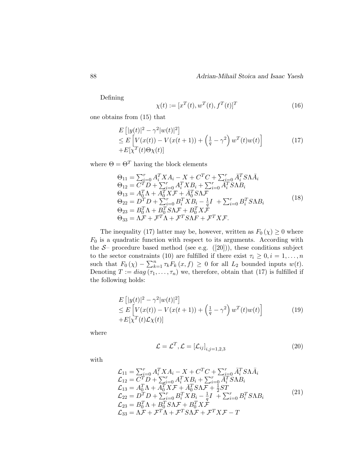Defining

$$
\chi(t) := [x^T(t), w^T(t), f^T(t)]^T
$$
\n(16)

one obtains from (15) that

$$
E\left[|y(t)|^2 - \gamma^2 |w(t)|^2\right]
$$
  
\n
$$
\leq E\left[V(x(t)) - V(x(t+1)) + \left(\frac{1}{q} - \gamma^2\right)w^T(t)w(t)\right]
$$
  
\n
$$
+ E[\chi^T(t)\Theta\chi(t)]
$$
\n(17)

where  $\Theta = \Theta^T$  having the block elements

$$
\Theta_{11} = \sum_{i=0}^{r} A_i^T X A_i - X + C^T C + \sum_{i=0}^{r} \bar{A}_i^T S \Lambda \bar{A}_i \n\Theta_{12} = C^T D + \sum_{i=0}^{r} A_i^T X B_i + \sum_{i=0}^{r} \bar{A}_i^T S \Lambda B_i \n\Theta_{13} = A_0^T \Lambda + A_0^T X \mathcal{F} + \bar{A}_0^T S \Lambda \mathcal{F} \n\Theta_{22} = D^T D + \sum_{i=0}^{r} B_i^T X B_i - \frac{1}{q} I + \sum_{i=0}^{r} B_i^T S \Lambda B_i \n\Theta_{23} = B_0^T \Lambda + B_0^T S \Lambda \mathcal{F} + B_0^T X \mathcal{F} \n\Theta_{33} = \Lambda \mathcal{F} + \mathcal{F}^T \Lambda + \mathcal{F}^T S \Lambda \mathcal{F} + \mathcal{F}^T X \mathcal{F}.
$$
\n(18)

The inequality (17) latter may be, however, written as  $F_0(\chi) \geq 0$  where  $F_0$  is a quadratic function with respect to its arguments. According with the  $S-$  procedure based method (see e.g.  $([20]))$ , these conditions subject to the sector constraints (10) are fulfilled if there exist  $\tau_i \geq 0, i = 1, \ldots, n$ such that  $F_0(\chi) - \sum_{k=1}^n \tau_k F_k(x, f) \geq 0$  for all  $L_2$  bounded inputs  $w(t)$ . Denoting  $T := diag(\tau_1, \ldots, \tau_n)$  we, therefore, obtain that (17) is fulfilled if the following holds:

$$
E\left[|y(t)|^2 - \gamma^2 |w(t)|^2\right] \\
\leq E\left[V(x(t)) - V(x(t+1)) + \left(\frac{1}{q} - \gamma^2\right) w^T(t) w(t)\right] \\
+ E[\chi^T(t) \mathcal{L}\chi(t)]
$$
\n(19)

where

$$
\mathcal{L} = \mathcal{L}^T, \mathcal{L} = [\mathcal{L}_{ij}]_{i,j=1,2,3}
$$
\n(20)

with

$$
\mathcal{L}_{11} = \sum_{i=0}^{r} A_i^T X A_i - X + C^T C + \sum_{i=0}^{r} \bar{A}_i^T S \Lambda \bar{A}_i \n\mathcal{L}_{12} = C^T D + \sum_{i=0}^{r} A_i^T X B_i + \sum_{i=0}^{r} \bar{A}_i^T S \Lambda B_i \n\mathcal{L}_{13} = A_0^T \Lambda + A_0^T X \mathcal{F} + \bar{A}_0^T S \Lambda \mathcal{F} + \frac{1}{2} S T \n\mathcal{L}_{22} = D^T D + \sum_{i=0}^{r} B_i^T X B_i - \frac{1}{q} I + \sum_{i=0}^{r} B_i^T S \Lambda B_i \n\mathcal{L}_{23} = B_0^T \Lambda + B_0^T S \Lambda \mathcal{F} + B_0^T X \mathcal{F} \n\mathcal{L}_{33} = \Lambda \mathcal{F} + \mathcal{F}^T \Lambda + \mathcal{F}^T S \Lambda \mathcal{F} + \mathcal{F}^T X \mathcal{F} - T
$$
\n(21)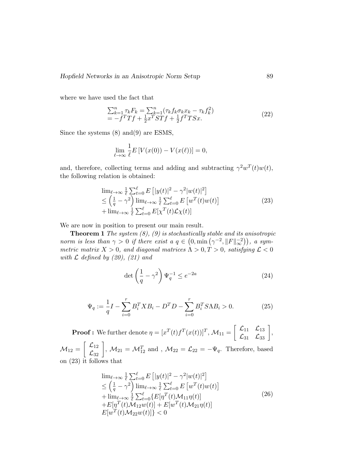where we have used the fact that

$$
\sum_{k=1}^{n} \tau_k F_k = \sum_{k=1}^{n} (\tau_k f_k \sigma_k x_k - \tau_k f_k^2)
$$
  
=  $-f^T T f + \frac{1}{2} x^T S T f + \frac{1}{2} f^T T S x.$  (22)

Since the systems (8) and(9) are ESMS,

$$
\lim_{\ell \to \infty} \frac{1}{\ell} E\left[V(x(0)) - V(x(\ell))\right] = 0,
$$

and, therefore, collecting terms and adding and subtracting  $\gamma^2 w^T(t) w(t)$ , the following relation is obtained:

$$
\lim_{\ell \to \infty} \frac{1}{\ell} \sum_{t=0}^{\ell} E\left[|y(t)|^2 - \gamma^2 |w(t)|^2\right] \n\leq \left(\frac{1}{q} - \gamma^2\right) \lim_{\ell \to \infty} \frac{1}{\ell} \sum_{t=0}^{\ell} E\left[w^T(t)w(t)\right] \n+ \lim_{\ell \to \infty} \frac{1}{\ell} \sum_{t=0}^{\ell} E[\chi^T(t) \mathcal{L}\chi(t)]
$$
\n(23)

We are now in position to present our main result.

**Theorem 1** The system  $(8)$ ,  $(9)$  is stochastically stable and its anisotropic norm is less than  $\gamma > 0$  if there exist a  $q \in (0, \min(\gamma^{-2}, ||F||_{\infty}^{-2}))$ , a symmetric matrix  $X > 0$ , and diagonal matrices  $\Lambda > 0$ ,  $T > 0$ , satisfying  $\mathcal{L} < 0$ with  $\mathcal L$  defined by (20), (21) and

$$
\det\left(\frac{1}{q} - \gamma^2\right)\Psi_q^{-1} \le e^{-2a} \tag{24}
$$

$$
\Psi_q := \frac{1}{q}I - \sum_{i=0}^r B_i^T X B_i - D^T D - \sum_{i=0}^r B_i^T S \Lambda B_i > 0.
$$
 (25)

**Proof :** We further denote  $\eta = [x^T(t)f^T(x(t))]^T$ ,  $\mathcal{M}_{11} = \begin{bmatrix} \mathcal{L}_{11} & \mathcal{L}_{13} \\ \mathcal{L}_{31} & \mathcal{L}_{33} \end{bmatrix}$ ,

 $\mathcal{M}_{12} = \begin{bmatrix} \mathcal{L}_{12} \\ \mathcal{L}_{32} \end{bmatrix}$ ,  $\mathcal{M}_{21} = \mathcal{M}_{12}^T$  and ,  $\mathcal{M}_{22} = \mathcal{L}_{22} = -\Psi_q$ . Therefore, based on (23) it follows that

$$
\lim_{\ell \to \infty} \frac{1}{\ell} \sum_{t=0}^{\ell} E\left[ |y(t)|^2 - \gamma^2 |w(t)|^2 \right] \n\leq \left( \frac{1}{q} - \gamma^2 \right) \lim_{\ell \to \infty} \frac{1}{\ell} \sum_{t=0}^{\ell} E\left[ w^T(t) w(t) \right] \n+ \lim_{\ell \to \infty} \frac{1}{\ell} \sum_{t=0}^{\ell} \{ E[\eta^T(t) \mathcal{M}_{11} \eta(t)] \n+ E[\eta^T(t) \mathcal{M}_{12} w(t)] + E[w^T(t) \mathcal{M}_{21} \eta(t)] \nE[w^T(t) \mathcal{M}_{22} w(t)] \} < 0
$$
\n(26)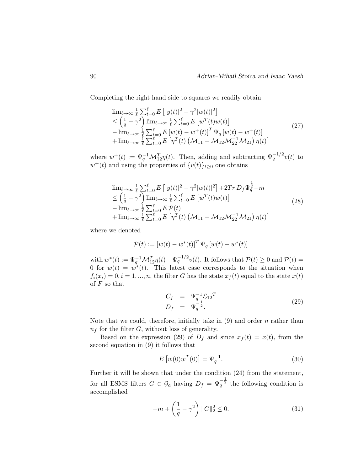Completing the right hand side to squares we readily obtain

$$
\lim_{\ell \to \infty} \frac{1}{\ell} \sum_{t=0}^{\ell} E \left[ |y(t)|^2 - \gamma^2 |w(t)|^2 \right] \n\leq \left( \frac{1}{q} - \gamma^2 \right) \lim_{\ell \to \infty} \frac{1}{\ell} \sum_{t=0}^{\ell} E \left[ w^T(t) w(t) \right] \n- \lim_{\ell \to \infty} \frac{1}{\ell} \sum_{t=0}^{\ell} E \left[ w(t) - w^+(t) \right]^T \Psi_q \left[ w(t) - w^+(t) \right] \n+ \lim_{\ell \to \infty} \frac{1}{\ell} \sum_{t=0}^{\ell} E \left[ \eta^T(t) \left( \mathcal{M}_{11} - \mathcal{M}_{12} \mathcal{M}_{22}^{-1} \mathcal{M}_{21} \right) \eta(t) \right]
$$
\n(27)

where  $w^+(t) := \Psi_q^{-1} \mathcal{M}_{12}^T \eta(t)$ . Then, adding and subtracting  $\Psi_q^{-1/2} v(t)$  to  $w^+(t)$  and using the properties of  $\{v(t)\}_{t\geq 0}$  one obtains

$$
\lim_{\ell \to \infty} \frac{1}{\ell} \sum_{t=0}^{\ell} E\left[ |y(t)|^2 - \gamma^2 |w(t)|^2 \right] + 2Tr \, D_f \Psi_q^{\frac{1}{2}} - m \n\leq \left( \frac{1}{q} - \gamma^2 \right) \lim_{\ell \to \infty} \frac{1}{\ell} \sum_{t=0}^{\ell} E\left[ w^T(t) w(t) \right] \n- \lim_{\ell \to \infty} \frac{1}{\ell} \sum_{t=0}^{\ell} E \, \mathcal{P}(t) \n+ \lim_{\ell \to \infty} \frac{1}{\ell} \sum_{t=0}^{\ell} E\left[ \eta^T(t) \left( \mathcal{M}_{11} - \mathcal{M}_{12} \mathcal{M}_{22}^{-1} \mathcal{M}_{21} \right) \eta(t) \right]
$$
\n(28)

where we denoted

$$
\mathcal{P}(t) := [w(t) - w^*(t)]^T \Psi_q [w(t) - w^*(t)]
$$

with  $w^*(t) := \Psi_q^{-1} \mathcal{M}_{12}^T \eta(t) + \Psi_q^{-1/2} v(t)$ . It follows that  $\mathcal{P}(t) \ge 0$  and  $\mathcal{P}(t) =$ 0 for  $w(t) = w^*(t)$ . This latest case corresponds to the situation when  $f_i(x_i) = 0, i = 1, ..., n$ , the filter G has the state  $x_f(t)$  equal to the state  $x(t)$ of  $F$  so that

$$
C_f = \Psi_q^{-1} \mathcal{L}_{12}^T D_f = \Psi_q^{-\frac{1}{2}}.
$$
 (29)

Note that we could, therefore, initially take in  $(9)$  and order n rather than  $n_f$  for the filter G, without loss of generality.

Based on the expression (29) of  $D_f$  and since  $x_f(t) = x(t)$ , from the second equation in (9) it follows that

$$
E\left[\tilde{w}(0)\tilde{w}^T(0)\right] = \Psi_q^{-1}.
$$
\n(30)

Further it will be shown that under the condition (24) from the statement, for all ESMS filters  $G \in \mathcal{G}_a$  having  $D_f = \Psi_q^{-\frac{1}{2}}$  the following condition is accomplished

$$
-m + \left(\frac{1}{q} - \gamma^2\right) ||G||_2^2 \le 0.
$$
 (31)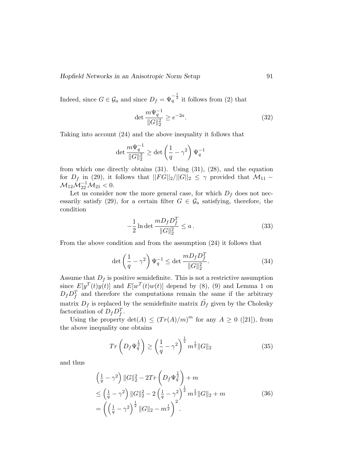Hopfield Networks in an Anisotropic Norm Setup 91

Indeed, since  $G \in \mathcal{G}_a$  and since  $D_f = \Psi_q^{-\frac{1}{2}}$  it follows from (2) that

$$
\det \frac{m\Psi_q^{-1}}{\|G\|_2^2} \ge e^{-2a}.\tag{32}
$$

Taking into account (24) and the above inequality it follows that

$$
\det \frac{m\Psi_q^{-1}}{\|G\|_2^2} \ge \det \left(\frac{1}{q} - \gamma^2\right) \Psi_q^{-1}
$$

from which one directly obtains  $(31)$ . Using  $(31)$ ,  $(28)$ , and the equation for  $D_f$  in (29), it follows that  $||FG||_2/||G||_2 \leq \gamma$  provided that  $\mathcal{M}_{11}$  –  $\mathcal{M}_{12} \mathcal{M}_{22}^{-1} \mathcal{M}_{21} < 0.$ 

Let us consider now the more general case, for which  $D_f$  does not necessarily satisfy (29), for a certain filter  $G \in \mathcal{G}_a$  satisfying, therefore, the condition

$$
-\frac{1}{2}\ln\det\frac{mD_fD_f^T}{\|G\|_2^2} \le a\,. \tag{33}
$$

From the above condition and from the assumption (24) it follows that

$$
\det\left(\frac{1}{q} - \gamma^2\right)\Psi_q^{-1} \le \det\frac{mD_fD_f^T}{\|G\|_2^2}.\tag{34}
$$

Assume that  $D_f$  is positive semidefinite. This is not a restrictive assumption since  $E[y^T(t)y(t)]$  and  $E[w^T(t)w(t)]$  depend by (8), (9) and Lemma 1 on  $D_f D_f^T$  and therefore the computations remain the same if the arbitrary matrix  $D_f$  is replaced by the semidefinite matrix  $\tilde{D_f}$  given by the Cholesky factorization of  $D_f D_f^T$ .

Using the property  $\det(A) \leq (Tr(A)/m)^m$  for any  $A \geq 0$  ([21]), from the above inequality one obtains

$$
Tr\left(D_f\Psi_q^{\frac{1}{2}}\right) \ge \left(\frac{1}{q} - \gamma^2\right)^{\frac{1}{2}} m^{\frac{1}{2}} \|G\|_2 \tag{35}
$$

and thus

$$
\begin{split}\n&\left(\frac{1}{q} - \gamma^2\right) ||G||_2^2 - 2Tr\left(D_f \Psi_q^{\frac{1}{2}}\right) + m \\
&\leq \left(\frac{1}{q} - \gamma^2\right) ||G||_2^2 - 2\left(\frac{1}{q} - \gamma^2\right)^{\frac{1}{2}} m^{\frac{1}{2}} ||G||_2 + m \\
&= \left(\left(\frac{1}{q} - \gamma^2\right)^{\frac{1}{2}} ||G||_2 - m^{\frac{1}{2}}\right)^2.\n\end{split} \tag{36}
$$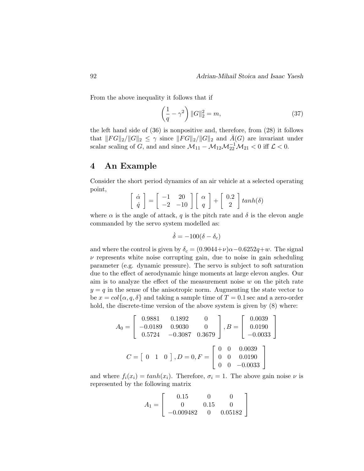From the above inequality it follows that if

$$
\left(\frac{1}{q} - \gamma^2\right) ||G||_2^2 = m,\tag{37}
$$

the left hand side of (36) is nonpositive and, therefore, from (28) it follows that  $||FG||_2/||G||_2 \leq \gamma$  since  $||FG||_2/||G||_2$  and  $\bar{A}(G)$  are invariant under scalar scaling of G, and and since  $\mathcal{M}_{11} - \mathcal{M}_{12}\mathcal{M}_{22}^{-1}\mathcal{M}_{21} < 0$  iff  $\mathcal{L} < 0$ .

#### 4 An Example

Consider the short period dynamics of an air vehicle at a selected operating point,

$$
\left[\begin{array}{c}\n\dot{\alpha} \\
\dot{q}\n\end{array}\right] = \left[\begin{array}{cc}\n-1 & 20 \\
-2 & -10\n\end{array}\right] \left[\begin{array}{c}\n\alpha \\
q\end{array}\right] + \left[\begin{array}{c}\n0.2 \\
2\end{array}\right] \tanh(\delta)
$$

where  $\alpha$  is the angle of attack, q is the pitch rate and  $\delta$  is the elevon angle commanded by the servo system modelled as:

$$
\dot{\delta} = -100(\delta - \delta_c)
$$

and where the control is given by  $\delta_c = (0.9044+\nu)\alpha-0.6252q+w$ . The signal  $\nu$  represents white noise corrupting gain, due to noise in gain scheduling parameter (e.g. dynamic pressure). The servo is subject to soft saturation due to the effect of aerodynamic hinge moments at large elevon angles. Our aim is to analyze the effect of the measurement noise  $w$  on the pitch rate  $y = q$  in the sense of the anisotropic norm. Augmenting the state vector to be  $x = col\{\alpha, q, \delta\}$  and taking a sample time of  $T = 0.1$  sec and a zero-order hold, the discrete-time version of the above system is given by  $(8)$  where:

$$
A_0 = \begin{bmatrix} 0.9881 & 0.1892 & 0 \\ -0.0189 & 0.9030 & 0 \\ 0.5724 & -0.3087 & 0.3679 \end{bmatrix}, B = \begin{bmatrix} 0.0039 \\ 0.0190 \\ -0.0033 \end{bmatrix}
$$

$$
C = \begin{bmatrix} 0 & 1 & 0 \end{bmatrix}, D = 0, F = \begin{bmatrix} 0 & 0 & 0.0039 \\ 0 & 0 & 0.0190 \\ 0 & 0 & -0.0033 \end{bmatrix}
$$

and where  $f_i(x_i) = tanh(x_i)$ . Therefore,  $\sigma_i = 1$ . The above gain noise  $\nu$  is represented by the following matrix

$$
A_1 = \left[ \begin{array}{rrr} 0.15 & 0 & 0 \\ 0 & 0.15 & 0 \\ -0.009482 & 0 & 0.05182 \end{array} \right]
$$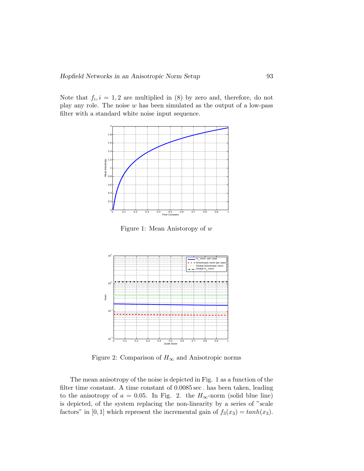Note that  $f_i, i = 1, 2$  are multiplied in (8) by zero and, therefore, do not play any role. The noise  $w$  has been simulated as the output of a low-pass filter with a standard white noise input sequence.



Figure 1: Mean Anistoropy of w



Figure 2: Comparison of  $H_{\infty}$  and Anisotropic norms

The mean anisotropy of the noise is depicted in Fig. 1 as a function of the filter time constant. A time constant of 0.0085 sec . has been taken, leading to the anisotropy of  $a = 0.05$ . In Fig. 2. the  $H_{\infty}$ -norm (solid blue line) is depicted, of the system replacing the non-linearity by a series of "scale factors" in [0, 1] which represent the incremental gain of  $f_3(x_3) = tanh(x_3)$ .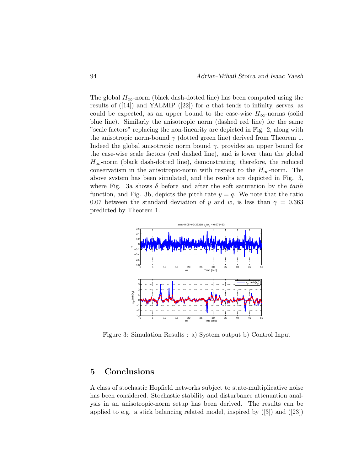The global  $H_{\infty}$ -norm (black dash-dotted line) has been computed using the results of  $([14])$  and YALMIP  $([22])$  for a that tends to infinity, serves, as could be expected, as an upper bound to the case-wise  $H_{\infty}$ -norms (solid blue line). Similarly the anisotropic norm (dashed red line) for the same "scale factors" replacing the non-linearity are depicted in Fig. 2, along with the anisotropic norm-bound  $\gamma$  (dotted green line) derived from Theorem 1. Indeed the global anisotropic norm bound  $\gamma$ , provides an upper bound for the case-wise scale factors (red dashed line), and is lower than the global  $H_{\infty}$ -norm (black dash-dotted line), demonstrating, therefore, the reduced conservatism in the anisotropic-norm with respect to the  $H_{\infty}$ -norm. The above system has been simulated, and the results are depicted in Fig. 3, where Fig. 3a shows  $\delta$  before and after the soft saturation by the tanh function, and Fig. 3b, depicts the pitch rate  $y = q$ . We note that the ratio 0.07 between the standard deviation of y and w, is less than  $\gamma = 0.363$ predicted by Theorem 1.



Figure 3: Simulation Results : a) System output b) Control Input

## 5 Conclusions

A class of stochastic Hopfield networks subject to state-multiplicative noise has been considered. Stochastic stability and disturbance attenuation analysis in an anisotropic-norm setup has been derived. The results can be applied to e.g. a stick balancing related model, inspired by ([3]) and ([23])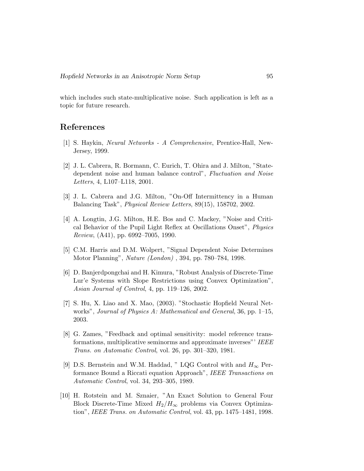which includes such state-multiplicative noise. Such application is left as a topic for future research.

### References

- [1] S. Haykin, Neural Networks A Comprehensive, Prentice-Hall, New-Jersey, 1999.
- [2] J. L. Cabrera, R. Bormann, C. Eurich, T. Ohira and J. Milton, "Statedependent noise and human balance control", Fluctuation and Noise Letters, 4, L107–L118, 2001.
- [3] J. L. Cabrera and J.G. Milton, "On-Off Intermittency in a Human Balancing Task", Physical Review Letters, 89(15), 158702, 2002.
- [4] A. Longtin, J.G. Milton, H.E. Bos and C. Mackey, "Noise and Critical Behavior of the Pupil Light Reflex at Oscillations Onset", Physics Review, (A41), pp. 6992–7005, 1990.
- [5] C.M. Harris and D.M. Wolpert, "Signal Dependent Noise Determines Motor Planning", Nature (London) , 394, pp. 780–784, 1998.
- [6] D. Banjerdpongchai and H. Kimura, "Robust Analysis of Discrete-Time Lur'e Systems with Slope Restrictions using Convex Optimization", Asian Journal of Control, 4, pp. 119–126, 2002.
- [7] S. Hu, X. Liao and X. Mao, (2003). "Stochastic Hopfield Neural Networks", Journal of Physics A: Mathematical and General, 36, pp. 1–15, 2003.
- [8] G. Zames, "Feedback and optimal sensitivity: model reference transformations, multiplicative seminorms and approximate inverses"' IEEE Trans. on Automatic Control, vol. 26, pp. 301–320, 1981.
- [9] D.S. Bernstein and W.M. Haddad, " LQG Control with and  $H_{\infty}$  Performance Bound a Riccati equation Approach", IEEE Transactions on Automatic Control, vol. 34, 293–305, 1989.
- [10] H. Rotstein and M. Sznaier, "An Exact Solution to General Four Block Discrete-Time Mixed  $H_2/H_{\infty}$  problems via Convex Optimization", IEEE Trans. on Automatic Control, vol. 43, pp. 1475–1481, 1998.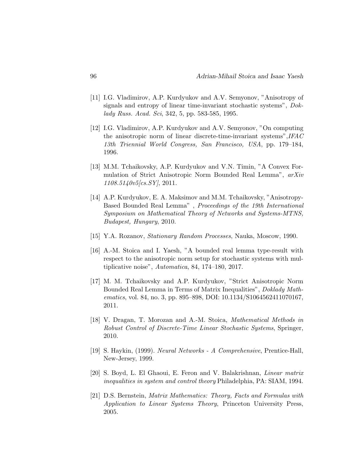- [11] I.G. Vladimirov, A.P. Kurdyukov and A.V. Semyonov, "Anisotropy of signals and entropy of linear time-invariant stochastic systems", Doklady Russ. Acad. Sci, 342, 5, pp. 583-585, 1995.
- [12] I.G. Vladimirov, A.P. Kurdyukov and A.V. Semyonov, "On computing the anisotropic norm of linear discrete-time-invariant systems",IFAC 13th Triennial World Congress, San Francisco, USA, pp. 179–184, 1996.
- [13] M.M. Tchaikovsky, A.P. Kurdyukov and V.N. Timin, "A Convex Formulation of Strict Anisotropic Norm Bounded Real Lemma", arXiv 1108.5140v5[cs.SY], 2011.
- [14] A.P. Kurdyukov, E. A. Maksimov and M.M. Tchaikovsky, "Anisotropy-Based Bounded Real Lemma" , Proceedings of the 19th International Symposium on Mathematical Theory of Networks and Systems-MTNS, Budapest, Hungary, 2010.
- [15] Y.A. Rozanov, Stationary Random Processes, Nauka, Moscow, 1990.
- [16] A.-M. Stoica and I. Yaesh, "A bounded real lemma type-result with respect to the anisotropic norm setup for stochastic systems with multiplicative noise", Automatica, 84, 174–180, 2017.
- [17] M. M. Tchaikovsky and A.P. Kurdyukov, "Strict Anisotropic Norm Bounded Real Lemma in Terms of Matrix Inequalities", Doklady Mathematics, vol. 84, no. 3, pp. 895–898, DOI: 10.1134/S1064562411070167, 2011.
- [18] V. Dragan, T. Morozan and A.-M. Stoica, *Mathematical Methods in* Robust Control of Discrete-Time Linear Stochastic Systems, Springer, 2010.
- [19] S. Haykin, (1999). Neural Networks A Comprehensive, Prentice-Hall, New-Jersey, 1999.
- [20] S. Boyd, L. El Ghaoui, E. Feron and V. Balakrishnan, Linear matrix inequalities in system and control theory Philadelphia, PA: SIAM, 1994.
- [21] D.S. Bernstein, Matrix Mathematics: Theory, Facts and Formulas with Application to Linear Systems Theory, Princeton University Press, 2005.